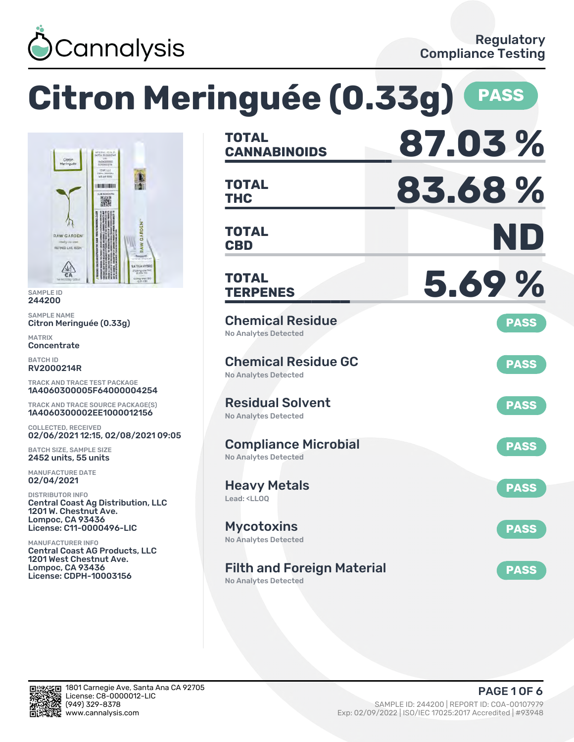

# **Citron Meringuée (0.33g) PASS**



SAMPLE ID 244200

SAMPLE NAME Citron Meringuée (0.33g)

MATRIX **Concentrate** 

BATCH ID RV2000214R

TRACK AND TRACE TEST PACKAGE 1A4060300005F64000004254

TRACK AND TRACE SOURCE PACKAGE(S) 1A4060300002EE1000012156

COLLECTED, RECEIVED 02/06/2021 12:15, 02/08/2021 09:05

BATCH SIZE, SAMPLE SIZE 2452 units, 55 units

MANUFACTURE DATE 02/04/2021

DISTRIBUTOR INFO Central Coast Ag Distribution, LLC 1201 W. Chestnut Ave. Lompoc, CA 93436 License: C11-0000496-LIC

MANUFACTURER INFO Central Coast AG Products, LLC 1201 West Chestnut Ave. Lompoc, CA 93436 License: CDPH-10003156

| <b>TOTAL</b><br><b>CANNABINOIDS</b>                                    | 87.03%      |
|------------------------------------------------------------------------|-------------|
| <b>TOTAL</b><br>THC                                                    | 83.68%      |
| <b>TOTAL</b><br><b>CBD</b>                                             | ND          |
| TOTAL<br><b>TERPENES</b>                                               | 5.69%       |
| <b>Chemical Residue</b><br><b>No Analytes Detected</b>                 | <b>PASS</b> |
| <b>Chemical Residue GC</b><br><b>No Analytes Detected</b>              | <b>PASS</b> |
| <b>Residual Solvent</b><br><b>No Analytes Detected</b>                 | <b>PASS</b> |
| <b>Compliance Microbial</b><br><b>No Analytes Detected</b>             | <b>PASS</b> |
| <b>Heavy Metals</b><br>Lead: <ll00< td=""><td><b>PASS</b></td></ll00<> | <b>PASS</b> |
| <b>Mycotoxins</b><br>No Analytes Detected                              | <b>PASS</b> |
| <b>Filth and Foreign Material</b><br><b>No Analytes Detected</b>       | <b>PASS</b> |

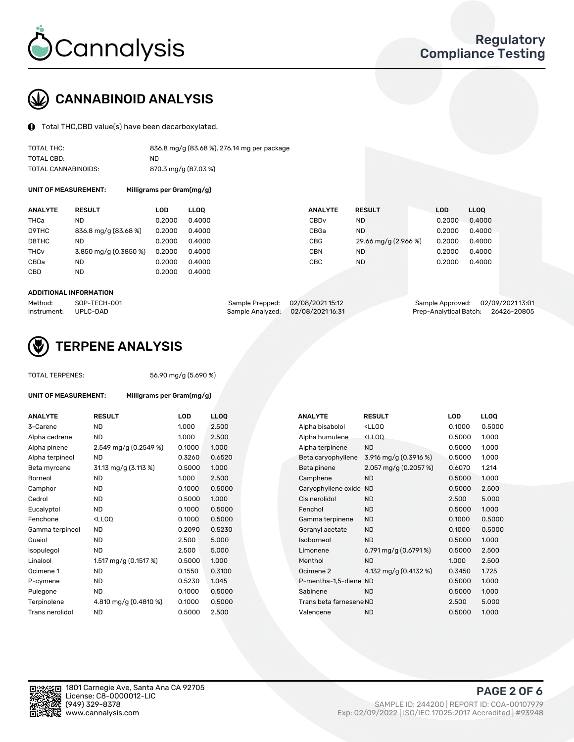

## CANNABINOID ANALYSIS

Total THC,CBD value(s) have been decarboxylated.

| TOTAL THC:          | 836.8 mg/g (83.68 %), 276.14 mg per package |
|---------------------|---------------------------------------------|
| TOTAL CBD:          | ND                                          |
| TOTAL CANNABINOIDS: | 870.3 mg/g (87.03 %)                        |

UNIT OF MEASUREMENT: Milligrams per Gram(mg/g)

| <b>ANALYTE</b>         | <b>RESULT</b>         | LOD    | <b>LLOO</b> | <b>ANALYTE</b>   | <b>RESULT</b>        | LOD    | LL <sub>00</sub> |
|------------------------|-----------------------|--------|-------------|------------------|----------------------|--------|------------------|
| THCa                   | ND                    | 0.2000 | 0.4000      | CBD <sub>v</sub> | ND.                  | 0.2000 | 0.4000           |
| D9THC                  | 836.8 mg/g (83.68 %)  | 0.2000 | 0.4000      | CBGa             | ND.                  | 0.2000 | 0.4000           |
| D8THC                  | ND                    | 0.2000 | 0.4000      | <b>CBG</b>       | 29.66 mg/g (2.966 %) | 0.2000 | 0.4000           |
| <b>THC<sub>v</sub></b> | 3.850 mg/g (0.3850 %) | 0.2000 | 0.4000      | <b>CBN</b>       | ND                   | 0.2000 | 0.4000           |
| CBDa                   | ND                    | 0.2000 | 0.4000      | CBC              | <b>ND</b>            | 0.2000 | 0.4000           |
| CBD                    | <b>ND</b>             | 0.2000 | 0.4000      |                  |                      |        |                  |
|                        |                       |        |             |                  |                      |        |                  |

#### ADDITIONAL INFORMATION

| Method:              | SOP-TECH-001 | Sample Prepped: 02/08/2021 15:12 | Sample Approved: 02/09/2021 13:01  |  |
|----------------------|--------------|----------------------------------|------------------------------------|--|
| Instrument: UPLC-DAD |              | Sample Analyzed: 02/08/202116:31 | Prep-Analytical Batch: 26426-20805 |  |



## TERPENE ANALYSIS

| UNIT OF MEASUREMENT: |  |  |
|----------------------|--|--|

TOTAL TERPENES: 56.90 mg/g (5.690 %)

Milligrams per Gram(mg/g)

| <b>RESULT</b>                                                                                                               | <b>LOD</b> | <b>LLOQ</b> | <b>ANALYTE</b>     | <b>RESULT</b>                                       | <b>LOD</b>                                                                 | <b>LLOQ</b> |
|-----------------------------------------------------------------------------------------------------------------------------|------------|-------------|--------------------|-----------------------------------------------------|----------------------------------------------------------------------------|-------------|
| <b>ND</b>                                                                                                                   | 1.000      | 2.500       | Alpha bisabolol    | <ll0q< td=""><td>0.1000</td><td>0.5000</td></ll0q<> | 0.1000                                                                     | 0.5000      |
| <b>ND</b>                                                                                                                   | 1.000      | 2.500       | Alpha humulene     | <lloq< td=""><td>0.5000</td><td>1.000</td></lloq<>  | 0.5000                                                                     | 1.000       |
| 2.549 mg/g (0.2549 %)                                                                                                       | 0.1000     | 1.000       | Alpha terpinene    | <b>ND</b>                                           | 0.5000                                                                     | 1.000       |
| <b>ND</b>                                                                                                                   | 0.3260     | 0.6520      | Beta caryophyllene | 3.916 mg/g $(0.3916\%)$                             | 0.5000                                                                     | 1.000       |
| 31.13 mg/g (3.113 %)                                                                                                        | 0.5000     | 1.000       | Beta pinene        | 2.057 mg/g (0.2057 %)                               | 0.6070                                                                     | 1.214       |
| <b>ND</b>                                                                                                                   | 1.000      | 2.500       | Camphene           | <b>ND</b>                                           | 0.5000                                                                     | 1.000       |
| <b>ND</b>                                                                                                                   | 0.1000     | 0.5000      |                    |                                                     | 0.5000                                                                     | 2.500       |
| <b>ND</b>                                                                                                                   | 0.5000     | 1.000       | Cis nerolidol      | <b>ND</b>                                           | 2.500                                                                      | 5.000       |
| <b>ND</b>                                                                                                                   | 0.1000     | 0.5000      | Fenchol            | <b>ND</b>                                           | 0.5000                                                                     | 1.000       |
| <ll0q< td=""><td>0.1000</td><td>0.5000</td><td>Gamma terpinene</td><td><b>ND</b></td><td>0.1000</td><td>0.5000</td></ll0q<> | 0.1000     | 0.5000      | Gamma terpinene    | <b>ND</b>                                           | 0.1000                                                                     | 0.5000      |
| <b>ND</b>                                                                                                                   | 0.2090     | 0.5230      | Geranyl acetate    | <b>ND</b>                                           | 0.1000                                                                     | 0.5000      |
| ND.                                                                                                                         | 2.500      | 5.000       | Isoborneol         | <b>ND</b>                                           | 0.5000                                                                     | 1.000       |
| <b>ND</b>                                                                                                                   | 2.500      | 5.000       | Limonene           | 6.791 mg/g $(0.6791\%)$                             | 0.5000                                                                     | 2.500       |
| 1.517 mg/g (0.1517 %)                                                                                                       | 0.5000     | 1.000       | Menthol            | <b>ND</b>                                           | 1.000                                                                      | 2.500       |
| <b>ND</b>                                                                                                                   | 0.1550     | 0.3100      | Ocimene 2          | 4.132 mg/g $(0.4132 \%)$                            | 0.3450                                                                     | 1.725       |
| <b>ND</b>                                                                                                                   | 0.5230     | 1.045       |                    |                                                     | 0.5000                                                                     | 1.000       |
| ND.                                                                                                                         | 0.1000     | 0.5000      | Sabinene           | <b>ND</b>                                           | 0.5000                                                                     | 1.000       |
| 4.810 mg/g $(0.4810\%)$                                                                                                     | 0.1000     | 0.5000      |                    |                                                     | 2.500                                                                      | 5.000       |
| <b>ND</b>                                                                                                                   | 0.5000     | 2.500       | Valencene          | <b>ND</b>                                           | 0.5000                                                                     | 1.000       |
|                                                                                                                             |            |             |                    |                                                     | Caryophyllene oxide ND<br>P-mentha-1.5-diene ND<br>Trans beta farnesene ND |             |

| <b>ANALYTE</b>          | <b>RESULT</b>                                       | LOD    | <b>LLOO</b> |
|-------------------------|-----------------------------------------------------|--------|-------------|
| Alpha bisabolol         | <lloq< td=""><td>0.1000</td><td>0.5000</td></lloq<> | 0.1000 | 0.5000      |
| Alpha humulene          | <lloq< td=""><td>0.5000</td><td>1.000</td></lloq<>  | 0.5000 | 1.000       |
| Alpha terpinene         | <b>ND</b>                                           | 0.5000 | 1.000       |
| Beta caryophyllene      | 3.916 mg/g (0.3916 %)                               | 0.5000 | 1.000       |
| Beta pinene             | 2.057 mg/g (0.2057 %)                               | 0.6070 | 1.214       |
| Camphene                | <b>ND</b>                                           | 0.5000 | 1.000       |
| Caryophyllene oxide     | <b>ND</b>                                           | 0.5000 | 2.500       |
| Cis nerolidol           | <b>ND</b>                                           | 2.500  | 5.000       |
| Fenchol                 | <b>ND</b>                                           | 0.5000 | 1.000       |
| Gamma terpinene         | <b>ND</b>                                           | 0.1000 | 0.5000      |
| Geranyl acetate         | <b>ND</b>                                           | 0.1000 | 0.5000      |
| Isoborneol              | <b>ND</b>                                           | 0.5000 | 1.000       |
| Limonene                | 6.791 mg/g $(0.6791\%)$                             | 0.5000 | 2.500       |
| Menthol                 | <b>ND</b>                                           | 1.000  | 2.500       |
| Ocimene <sub>2</sub>    | 4.132 mg/g (0.4132 %)                               | 0.3450 | 1.725       |
| P-mentha-1,5-diene ND   |                                                     | 0.5000 | 1.000       |
| Sabinene                | <b>ND</b>                                           | 0.5000 | 1.000       |
| Trans beta farnesene ND |                                                     | 2.500  | 5.000       |
| Valencene               | <b>ND</b>                                           | 0.5000 | 1.000       |
|                         |                                                     |        |             |

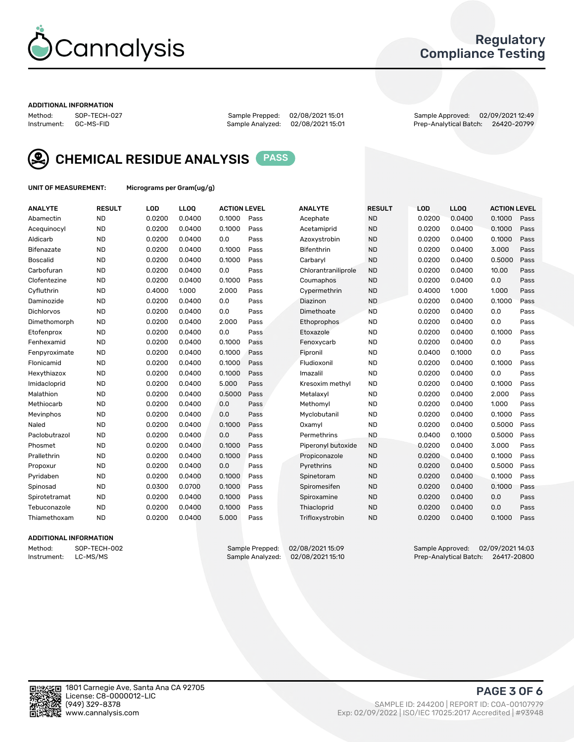

### Regulatory Compliance Testing

#### ADDITIONAL INFORMATION

Method: SOP-TECH-027 Sample Prepped: 02/08/2021 15:01 Sample Approved: 02/09/2021 12:49 Prep-Analytical Batch: 26420-20799



CHEMICAL RESIDUE ANALYSIS PASS

UNIT OF MEASUREMENT: Micrograms per Gram(ug/g)

| <b>ANALYTE</b>  | <b>RESULT</b> | LOD    | LLOQ   | <b>ACTION LEVEL</b> |      | <b>ANALYTE</b>      | <b>RESULT</b> | <b>LOD</b> | <b>LLOQ</b> | <b>ACTION LEVEL</b> |      |
|-----------------|---------------|--------|--------|---------------------|------|---------------------|---------------|------------|-------------|---------------------|------|
| Abamectin       | <b>ND</b>     | 0.0200 | 0.0400 | 0.1000              | Pass | Acephate            | <b>ND</b>     | 0.0200     | 0.0400      | 0.1000              | Pass |
| Acequinocyl     | <b>ND</b>     | 0.0200 | 0.0400 | 0.1000              | Pass | Acetamiprid         | <b>ND</b>     | 0.0200     | 0.0400      | 0.1000              | Pass |
| Aldicarb        | <b>ND</b>     | 0.0200 | 0.0400 | 0.0                 | Pass | Azoxystrobin        | <b>ND</b>     | 0.0200     | 0.0400      | 0.1000              | Pass |
| Bifenazate      | <b>ND</b>     | 0.0200 | 0.0400 | 0.1000              | Pass | Bifenthrin          | <b>ND</b>     | 0.0200     | 0.0400      | 3.000               | Pass |
| <b>Boscalid</b> | <b>ND</b>     | 0.0200 | 0.0400 | 0.1000              | Pass | Carbaryl            | <b>ND</b>     | 0.0200     | 0.0400      | 0.5000              | Pass |
| Carbofuran      | <b>ND</b>     | 0.0200 | 0.0400 | 0.0                 | Pass | Chlorantraniliprole | <b>ND</b>     | 0.0200     | 0.0400      | 10.00               | Pass |
| Clofentezine    | <b>ND</b>     | 0.0200 | 0.0400 | 0.1000              | Pass | Coumaphos           | <b>ND</b>     | 0.0200     | 0.0400      | 0.0                 | Pass |
| Cyfluthrin      | <b>ND</b>     | 0.4000 | 1.000  | 2.000               | Pass | Cypermethrin        | <b>ND</b>     | 0.4000     | 1.000       | 1.000               | Pass |
| Daminozide      | <b>ND</b>     | 0.0200 | 0.0400 | 0.0                 | Pass | Diazinon            | <b>ND</b>     | 0.0200     | 0.0400      | 0.1000              | Pass |
| Dichlorvos      | <b>ND</b>     | 0.0200 | 0.0400 | 0.0                 | Pass | Dimethoate          | <b>ND</b>     | 0.0200     | 0.0400      | 0.0                 | Pass |
| Dimethomorph    | <b>ND</b>     | 0.0200 | 0.0400 | 2.000               | Pass | Ethoprophos         | <b>ND</b>     | 0.0200     | 0.0400      | 0.0                 | Pass |
| Etofenprox      | <b>ND</b>     | 0.0200 | 0.0400 | 0.0                 | Pass | Etoxazole           | <b>ND</b>     | 0.0200     | 0.0400      | 0.1000              | Pass |
| Fenhexamid      | <b>ND</b>     | 0.0200 | 0.0400 | 0.1000              | Pass | Fenoxycarb          | <b>ND</b>     | 0.0200     | 0.0400      | 0.0                 | Pass |
| Fenpyroximate   | <b>ND</b>     | 0.0200 | 0.0400 | 0.1000              | Pass | Fipronil            | <b>ND</b>     | 0.0400     | 0.1000      | 0.0                 | Pass |
| Flonicamid      | <b>ND</b>     | 0.0200 | 0.0400 | 0.1000              | Pass | Fludioxonil         | <b>ND</b>     | 0.0200     | 0.0400      | 0.1000              | Pass |
| Hexythiazox     | <b>ND</b>     | 0.0200 | 0.0400 | 0.1000              | Pass | Imazalil            | <b>ND</b>     | 0.0200     | 0.0400      | 0.0                 | Pass |
| Imidacloprid    | <b>ND</b>     | 0.0200 | 0.0400 | 5.000               | Pass | Kresoxim methyl     | <b>ND</b>     | 0.0200     | 0.0400      | 0.1000              | Pass |
| Malathion       | <b>ND</b>     | 0.0200 | 0.0400 | 0.5000              | Pass | Metalaxyl           | <b>ND</b>     | 0.0200     | 0.0400      | 2.000               | Pass |
| Methiocarb      | <b>ND</b>     | 0.0200 | 0.0400 | 0.0                 | Pass | Methomyl            | <b>ND</b>     | 0.0200     | 0.0400      | 1.000               | Pass |
| Mevinphos       | <b>ND</b>     | 0.0200 | 0.0400 | 0.0                 | Pass | Myclobutanil        | <b>ND</b>     | 0.0200     | 0.0400      | 0.1000              | Pass |
| Naled           | <b>ND</b>     | 0.0200 | 0.0400 | 0.1000              | Pass | Oxamyl              | <b>ND</b>     | 0.0200     | 0.0400      | 0.5000              | Pass |
| Paclobutrazol   | <b>ND</b>     | 0.0200 | 0.0400 | 0.0                 | Pass | Permethrins         | <b>ND</b>     | 0.0400     | 0.1000      | 0.5000              | Pass |
| Phosmet         | <b>ND</b>     | 0.0200 | 0.0400 | 0.1000              | Pass | Piperonyl butoxide  | <b>ND</b>     | 0.0200     | 0.0400      | 3.000               | Pass |
| Prallethrin     | <b>ND</b>     | 0.0200 | 0.0400 | 0.1000              | Pass | Propiconazole       | <b>ND</b>     | 0.0200     | 0.0400      | 0.1000              | Pass |
| Propoxur        | <b>ND</b>     | 0.0200 | 0.0400 | 0.0                 | Pass | Pyrethrins          | <b>ND</b>     | 0.0200     | 0.0400      | 0.5000              | Pass |
| Pyridaben       | <b>ND</b>     | 0.0200 | 0.0400 | 0.1000              | Pass | Spinetoram          | <b>ND</b>     | 0.0200     | 0.0400      | 0.1000              | Pass |
| Spinosad        | <b>ND</b>     | 0.0300 | 0.0700 | 0.1000              | Pass | Spiromesifen        | <b>ND</b>     | 0.0200     | 0.0400      | 0.1000              | Pass |
| Spirotetramat   | <b>ND</b>     | 0.0200 | 0.0400 | 0.1000              | Pass | Spiroxamine         | <b>ND</b>     | 0.0200     | 0.0400      | 0.0                 | Pass |
| Tebuconazole    | <b>ND</b>     | 0.0200 | 0.0400 | 0.1000              | Pass | Thiacloprid         | <b>ND</b>     | 0.0200     | 0.0400      | 0.0                 | Pass |
| Thiamethoxam    | <b>ND</b>     | 0.0200 | 0.0400 | 5.000               | Pass | Trifloxystrobin     | <b>ND</b>     | 0.0200     | 0.0400      | 0.1000              | Pass |

#### ADDITIONAL INFORMATION

Method: SOP-TECH-002 Sample Prepped: 02/08/2021 15:09 Sample Approved: 02/09/2021 14:03<br>Instrument: LC-MS/MS Sample Analyzed: 02/08/2021 15:10 Prep-Analytical Batch: 26417-20800 Prep-Analytical Batch: 26417-20800

PAGE 3 OF 6

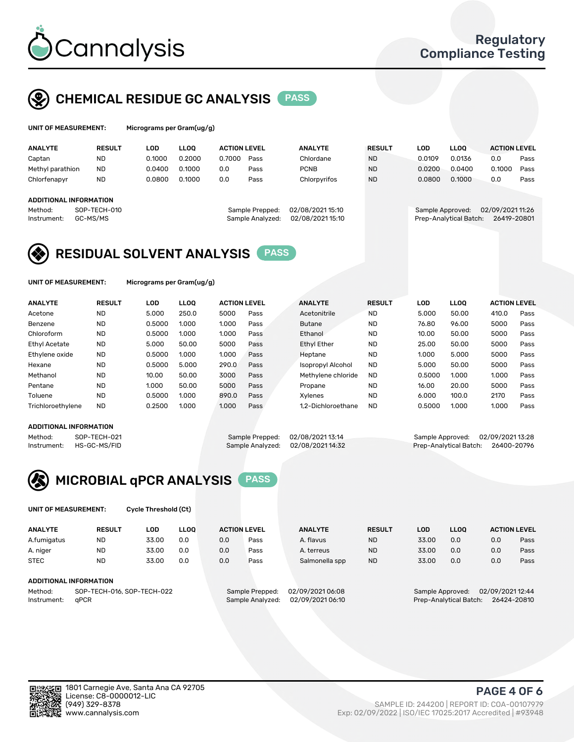

## CHEMICAL RESIDUE GC ANALYSIS PASS

| UNIT OF MEASUREMENT: | м |
|----------------------|---|
|                      |   |

licrograms per Gram(ug/g)

| <b>ANALYTE</b>          | <b>RESULT</b>                | LOD    | <b>LLOO</b>     |                  | <b>ACTION LEVEL</b><br><b>ANALYTE</b> |                  | <b>RESULT</b> | LOD             | <b>LLOO</b> | <b>ACTION LEVEL</b> |      |
|-------------------------|------------------------------|--------|-----------------|------------------|---------------------------------------|------------------|---------------|-----------------|-------------|---------------------|------|
| Captan                  | <b>ND</b>                    | 0.1000 | 0.2000          | 0.7000           | Pass                                  | Chlordane        | <b>ND</b>     | 0.0109          | 0.0136      | 0.0                 | Pass |
| Methyl parathion        | <b>ND</b>                    | 0.0400 | 0.1000          | 0.0              | Pass                                  | <b>PCNB</b>      | <b>ND</b>     | 0.0200          | 0.0400      | 0.1000              | Pass |
| Chlorfenapyr            | <b>ND</b>                    | 0.0800 | 0.1000          | 0.0              | Pass                                  | Chlorpyrifos     | <b>ND</b>     | 0.0800          | 0.1000      | 0.0                 | Pass |
|                         |                              |        |                 |                  |                                       |                  |               |                 |             |                     |      |
| ADDITIONAL INFORMATION  |                              |        |                 |                  |                                       |                  |               |                 |             |                     |      |
| SOP-TECH-010<br>Method: |                              |        | Sample Prepped: | 02/08/2021 15:10 |                                       | Sample Approved: |               | 02/09/202111:26 |             |                     |      |
| Instrument:             | GC-MS/MS<br>Sample Analyzed: |        |                 | 02/08/202115:10  | Prep-Analytical Batch:<br>26419-20801 |                  |               |                 |             |                     |      |
|                         |                              |        |                 |                  |                                       |                  |               |                 |             |                     |      |

## RESIDUAL SOLVENT ANALYSIS PASS

UNIT OF MEASUREMENT: Micrograms per Gram(ug/g)

| <b>ANALYTE</b>       | <b>RESULT</b> | LOD    | <b>LLOO</b> | <b>ACTION LEVEL</b> |      | <b>ANALYTE</b>           | <b>RESULT</b> | LOD    | LLOO  | <b>ACTION LEVEL</b> |      |
|----------------------|---------------|--------|-------------|---------------------|------|--------------------------|---------------|--------|-------|---------------------|------|
| Acetone              | <b>ND</b>     | 5.000  | 250.0       | 5000                | Pass | Acetonitrile             | <b>ND</b>     | 5.000  | 50.00 | 410.0               | Pass |
| Benzene              | <b>ND</b>     | 0.5000 | 1.000       | 1.000               | Pass | <b>Butane</b>            | <b>ND</b>     | 76.80  | 96.00 | 5000                | Pass |
| Chloroform           | <b>ND</b>     | 0.5000 | 1.000       | 1.000               | Pass | Ethanol                  | <b>ND</b>     | 10.00  | 50.00 | 5000                | Pass |
| <b>Ethyl Acetate</b> | <b>ND</b>     | 5.000  | 50.00       | 5000                | Pass | <b>Ethyl Ether</b>       | <b>ND</b>     | 25.00  | 50.00 | 5000                | Pass |
| Ethylene oxide       | <b>ND</b>     | 0.5000 | 1.000       | 1.000               | Pass | Heptane                  | <b>ND</b>     | 1.000  | 5.000 | 5000                | Pass |
| Hexane               | <b>ND</b>     | 0.5000 | 5.000       | 290.0               | Pass | <b>Isopropyl Alcohol</b> | <b>ND</b>     | 5.000  | 50.00 | 5000                | Pass |
| Methanol             | <b>ND</b>     | 10.00  | 50.00       | 3000                | Pass | Methylene chloride       | <b>ND</b>     | 0.5000 | 1.000 | 1.000               | Pass |
| Pentane              | <b>ND</b>     | 1.000  | 50.00       | 5000                | Pass | Propane                  | <b>ND</b>     | 16.00  | 20.00 | 5000                | Pass |
| Toluene              | <b>ND</b>     | 0.5000 | 1.000       | 890.0               | Pass | Xvlenes                  | <b>ND</b>     | 6.000  | 100.0 | 2170                | Pass |
| Trichloroethylene    | <b>ND</b>     | 0.2500 | 1.000       | 1.000               | Pass | 1.2-Dichloroethane       | <b>ND</b>     | 0.5000 | 1.000 | 1.000               | Pass |

#### ADDITIONAL INFORMATION

Method: SOP-TECH-021 Sample Prepped: 02/08/2021 13:14 Sample Approved: 02/09/2021 13:28<br>Sample Analyzed: 02/08/2021 14:32 Prep-Analytical Batch: 26400-20796 Prep-Analytical Batch: 26400-20796



UNIT OF MEASUREMENT: Cycle Threshold (Ct)

| <b>ANALYTE</b>         | <b>RESULT</b>               | LOD   | <b>LLOO</b> | <b>ACTION LEVEL</b> |                 | <b>ANALYTE</b> | <b>RESULT</b> | LOD               | <b>LLOO</b>       |     | <b>ACTION LEVEL</b> |
|------------------------|-----------------------------|-------|-------------|---------------------|-----------------|----------------|---------------|-------------------|-------------------|-----|---------------------|
| A.fumigatus            | <b>ND</b>                   | 33.00 | 0.0         | 0.0                 | Pass            | A. flavus      | <b>ND</b>     | 33.00             | 0.0               | 0.0 | Pass                |
| A. niger               | <b>ND</b>                   | 33.00 | 0.0         | 0.0                 | Pass            | A. terreus     | <b>ND</b>     | 33.00             | 0.0               | 0.0 | Pass                |
| <b>STEC</b>            | <b>ND</b>                   | 33.00 | 0.0         | 0.0                 | Pass            | Salmonella spp | <b>ND</b>     | 33.00             | 0.0               | 0.0 | Pass                |
| ADDITIONAL INFORMATION |                             |       |             |                     |                 |                |               |                   |                   |     |                     |
| $M = H = H$            | COD TEQUIO AL COD TEQUIO 20 |       |             | Consele Desposal    | 00/00/002104.00 |                |               | Consele Annuausal | 0.000000000000000 |     |                     |

Method: SOP-TECH-016, SOP-TECH-022 Sample Prepped: 02/09/2021 Instrument: qPCR Sample Analyzed: 02/09/2021 06:10 Prep-Analytical Batch: 26424-20810

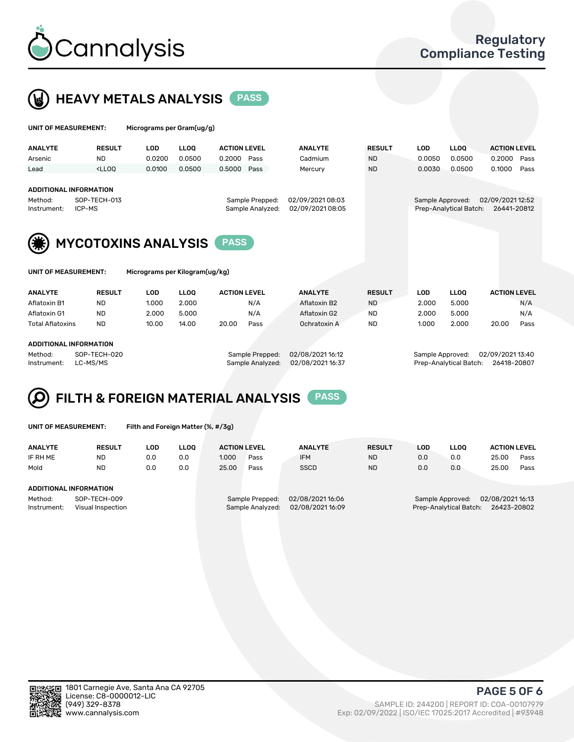



 $U$ UNIT OF MEASUREMENT: Micrograms per Gram(ug/g)

|                                           |                                                                                                                                                                             | $. 1.0.91$ cannot prove constructing and |                 |                     |                  |                |                                       |            |             |                     |      |
|-------------------------------------------|-----------------------------------------------------------------------------------------------------------------------------------------------------------------------------|------------------------------------------|-----------------|---------------------|------------------|----------------|---------------------------------------|------------|-------------|---------------------|------|
| <b>ANALYTE</b>                            | <b>RESULT</b>                                                                                                                                                               | <b>LOD</b>                               | <b>LLOO</b>     | <b>ACTION LEVEL</b> |                  | <b>ANALYTE</b> | <b>RESULT</b>                         | <b>LOD</b> | <b>LLOQ</b> | <b>ACTION LEVEL</b> |      |
| Arsenic                                   | <b>ND</b>                                                                                                                                                                   | 0.0200                                   | 0.0500          | 0.2000              | Pass             | Cadmium        | <b>ND</b>                             | 0.0050     | 0.0500      | 0.2000              | Pass |
| Lead                                      | <lloo< td=""><td>0.0100</td><td>0.0500</td><td>0.5000</td><td>Pass</td><td>Mercury</td><td><b>ND</b></td><td>0.0030</td><td>0.0500</td><td>0.1000</td><td>Pass</td></lloo<> | 0.0100                                   | 0.0500          | 0.5000              | Pass             | Mercury        | <b>ND</b>                             | 0.0030     | 0.0500      | 0.1000              | Pass |
|                                           |                                                                                                                                                                             |                                          |                 |                     |                  |                |                                       |            |             |                     |      |
|                                           | <b>ADDITIONAL INFORMATION</b>                                                                                                                                               |                                          |                 |                     |                  |                |                                       |            |             |                     |      |
| Method:                                   | SOP-TECH-013                                                                                                                                                                |                                          | Sample Prepped: |                     | 02/09/202108:03  |                | 02/09/2021 12:52<br>Sample Approved:  |            |             |                     |      |
| ICP-MS<br>Instrument:                     |                                                                                                                                                                             |                                          |                 | Sample Analyzed:    | 02/09/2021 08:05 |                | Prep-Analytical Batch:<br>26441-20812 |            |             |                     |      |
|                                           |                                                                                                                                                                             |                                          |                 |                     |                  |                |                                       |            |             |                     |      |
| <b>MYCOTOXINS ANALYSIS</b><br><b>PASS</b> |                                                                                                                                                                             |                                          |                 |                     |                  |                |                                       |            |             |                     |      |
| UNIT OF MEASUREMENT:                      |                                                                                                                                                                             | Micrograms per Kilogram(ug/kg)           |                 |                     |                  |                |                                       |            |             |                     |      |
| <b>ANALYTE</b>                            | <b>RESULT</b>                                                                                                                                                               | <b>LOD</b>                               | <b>LLOO</b>     | <b>ACTION LEVEL</b> |                  | <b>ANALYTE</b> | <b>RESULT</b>                         | <b>LOD</b> | <b>LLOO</b> | <b>ACTION LEVEL</b> |      |
| Aflatoxin B1                              | <b>ND</b>                                                                                                                                                                   | 1.000                                    | 2.000           |                     | N/A              | Aflatoxin B2   | <b>ND</b>                             | 2.000      | 5.000       |                     | N/A  |

Aflatoxin G1 ND 2.000 5.000 N/A Aflatoxin G2 ND 2.000 5.000 N/A Total Aflatoxins ND 10.00 14.00 20.00 Pass Ochratoxin A ND 1.000 2.000 20.00 Pass

| <b>ADDITIONAL INFORMATION</b> |
|-------------------------------|
|                               |

Method: SOP-TECH-020 Sample Prepped: 02/08/2021 16:12 Sample Approved: 02/09/2021 13:40 Instrument: LC-MS/MS Sample Analyzed: 02/08/2021 16:37 Prep-Analytical Batch: 26418-20807

# FILTH & FOREIGN MATERIAL ANALYSIS PASS

UNIT OF MEASUREMENT: Filth and Foreign Matter (%, #/3g)

| <b>ANALYTE</b>                                              | <b>RESULT</b> | LOD | <b>LLOO</b> | <b>ACTION LEVEL</b>                 |      | <b>ANALYTE</b>                     | <b>RESULT</b>                                                                 | LOD | <b>LLOO</b> | <b>ACTION LEVEL</b> |      |
|-------------------------------------------------------------|---------------|-----|-------------|-------------------------------------|------|------------------------------------|-------------------------------------------------------------------------------|-----|-------------|---------------------|------|
| IF RH ME                                                    | <b>ND</b>     | 0.0 | 0.0         | 1.000                               | Pass | <b>IFM</b>                         | <b>ND</b>                                                                     | 0.0 | 0.0         | 25.00               | Pass |
| Mold                                                        | <b>ND</b>     | 0.0 | 0.0         | 25.00                               | Pass | SSCD                               | <b>ND</b>                                                                     | 0.0 | 0.0         | 25.00               | Pass |
| ADDITIONAL INFORMATION                                      |               |     |             |                                     |      |                                    |                                                                               |     |             |                     |      |
| Method:<br>SOP-TECH-009<br>Instrument:<br>Visual Inspection |               |     |             | Sample Prepped:<br>Sample Analyzed: |      | 02/08/202116:06<br>02/08/202116:09 | 02/08/2021 16:13<br>Sample Approved:<br>Prep-Analytical Batch:<br>26423-20802 |     |             |                     |      |